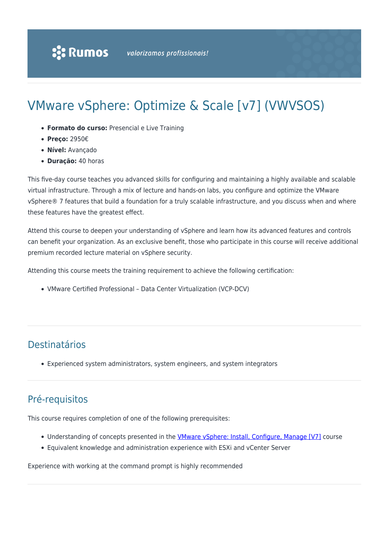# VMware vSphere: Optimize & Scale [v7] (VWVSOS)

- **Formato do curso:** Presencial e Live Training
- **Preço:** 2950€
- **Nível:** Avançado
- **Duração:** 40 horas

This five-day course teaches you advanced skills for configuring and maintaining a highly available and scalable virtual infrastructure. Through a mix of lecture and hands-on labs, you configure and optimize the VMware vSphere® 7 features that build a foundation for a truly scalable infrastructure, and you discuss when and where these features have the greatest effect.

Attend this course to deepen your understanding of vSphere and learn how its advanced features and controls can benefit your organization. As an exclusive benefit, those who participate in this course will receive additional premium recorded lecture material on vSphere security.

Attending this course meets the training requirement to achieve the following certification:

VMware Certified Professional – Data Center Virtualization (VCP-DCV)

# Destinatários

Experienced system administrators, system engineers, and system integrators

### Pré-requisitos

This course requires completion of one of the following prerequisites:

- Understanding of concepts presented in the [VMware vSphere: Install, Configure, Manage \[V7\]](https://rumos.pt/curso/vmware-vsphere-install-configure-manage-v6-7-vwvsicm-presencial-com-live-training/?preview_id=734&preview_nonce=71a7927093&_thumbnail_id=11762&preview=true) course
- Equivalent knowledge and administration experience with ESXi and vCenter Server

Experience with working at the command prompt is highly recommended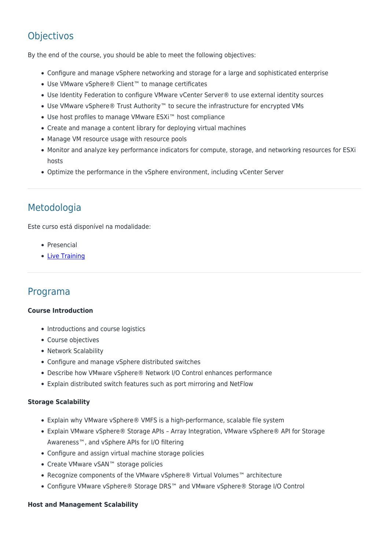## **Objectivos**

By the end of the course, you should be able to meet the following objectives:

- Configure and manage vSphere networking and storage for a large and sophisticated enterprise
- Use VMware vSphere® Client™ to manage certificates
- Use Identity Federation to configure VMware vCenter Server® to use external identity sources
- Use VMware vSphere® Trust Authority™ to secure the infrastructure for encrypted VMs
- Use host profiles to manage VMware ESXi™ host compliance
- Create and manage a content library for deploying virtual machines
- Manage VM resource usage with resource pools
- Monitor and analyze key performance indicators for compute, storage, and networking resources for ESXi hosts
- Optimize the performance in the vSphere environment, including vCenter Server

### Metodologia

Este curso está disponível na modalidade:

- Presencial
- [Live Training](https://rumos.pt/formacao/rumos-live-training/)

### Programa

#### **Course Introduction**

- Introductions and course logistics
- Course objectives
- Network Scalability
- Configure and manage vSphere distributed switches
- Describe how VMware vSphere® Network I/O Control enhances performance
- Explain distributed switch features such as port mirroring and NetFlow

#### **Storage Scalability**

- Explain why VMware vSphere® VMFS is a high-performance, scalable file system
- Explain VMware vSphere® Storage APIs Array Integration, VMware vSphere® API for Storage Awareness™, and vSphere APIs for I/O filtering
- Configure and assign virtual machine storage policies
- Create VMware vSAN™ storage policies
- Recognize components of the VMware vSphere® Virtual Volumes™ architecture
- Configure VMware vSphere® Storage DRS™ and VMware vSphere® Storage I/O Control

#### **Host and Management Scalability**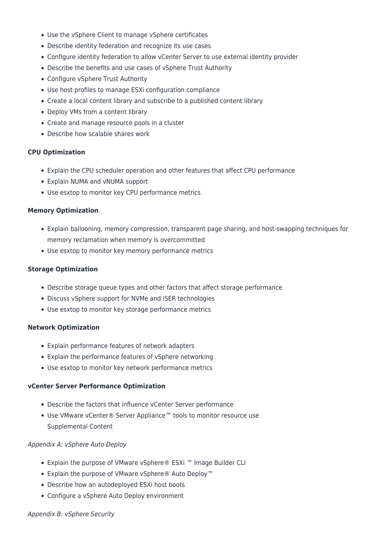- Use the vSphere Client to manage vSphere certificates
- Describe identity federation and recognize its use cases
- Configure identity federation to allow vCenter Server to use external identity provider
- Describe the benefits and use cases of vSphere Trust Authority
- Configure vSphere Trust Authority
- Use host profiles to manage ESXi configuration compliance
- Create a local content library and subscribe to a published content library
- Deploy VMs from a content library
- Create and manage resource pools in a cluster
- Describe how scalable shares work

#### **CPU Optimization**

- Explain the CPU scheduler operation and other features that affect CPU performance
- Explain NUMA and vNUMA support
- Use esxtop to monitor key CPU performance metrics

#### **Memory Optimization**

- Explain ballooning, memory compression, transparent page sharing, and host-swapping techniques for memory reclamation when memory is overcommitted
- Use esxtop to monitor key memory performance metrics

#### **Storage Optimization**

- Describe storage queue types and other factors that affect storage performance
- Discuss vSphere support for NVMe and iSER technologies
- Use esxtop to monitor key storage performance metrics

#### **Network Optimization**

- Explain performance features of network adapters
- Explain the performance features of vSphere networking
- Use esxtop to monitor key network performance metrics

#### **vCenter Server Performance Optimization**

- Describe the factors that influence vCenter Server performance
- Use VMware vCenter® Server Appliance™ tools to monitor resource use Supplemental Content

#### Appendix A: vSphere Auto Deploy

- Explain the purpose of VMware vSphere® ESXi ™ Image Builder CLI
- Explain the purpose of VMware vSphere® Auto Deploy™
- Describe how an autodeployed ESXi host boots
- Configure a vSphere Auto Deploy environment

#### Appendix B: vSphere Security